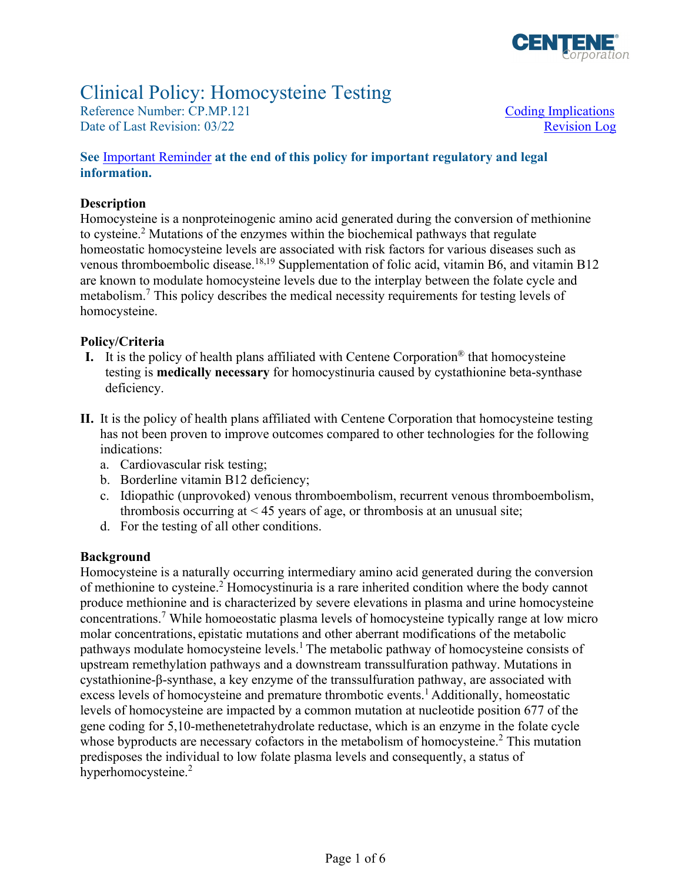

# Clinical Policy: Homocysteine Testing

Reference Number: CP.MP.121 Coding Implications Date of Last Revision: 03/22 Revision Log

#### **See** [Important Reminder](#page-4-0) **at the end of this policy for important regulatory and legal information.**

#### **Description**

Homocysteine is a nonproteinogenic amino acid generated during the conversion of methionine to cysteine.<sup>2</sup> Mutations of the enzymes within the biochemical pathways that regulate homeostatic homocysteine levels are associated with risk factors for various diseases such as venous thromboembolic disease.<sup>18,19</sup> Supplementation of folic acid, vitamin B6, and vitamin B12 are known to modulate homocysteine levels due to the interplay between the folate cycle and metabolism.<sup>7</sup> This policy describes the medical necessity requirements for testing levels of homocysteine.

#### **Policy/Criteria**

- **I.** It is the policy of health plans affiliated with Centene Corporation® that homocysteine testing is **medically necessary** for homocystinuria caused by cystathionine beta-synthase deficiency.
- **II.** It is the policy of health plans affiliated with Centene Corporation that homocysteine testing has not been proven to improve outcomes compared to other technologies for the following indications:
	- a. Cardiovascular risk testing;
	- b. Borderline vitamin B12 deficiency;
	- c. Idiopathic (unprovoked) venous thromboembolism, recurrent venous thromboembolism, thrombosis occurring at  $\leq$  45 years of age, or thrombosis at an unusual site;
	- d. For the testing of all other conditions.

#### **Background**

Homocysteine is a naturally occurring intermediary amino acid generated during the conversion of methionine to cysteine.<sup>2</sup> Homocystinuria is a rare inherited condition where the body cannot produce methionine and is characterized by severe elevations in plasma and urine homocysteine concentrations.<sup>7</sup> While homoeostatic plasma levels of homocysteine typically range at low micro molar concentrations, epistatic mutations and other aberrant modifications of the metabolic pathways modulate homocysteine levels.<sup>1</sup> The metabolic pathway of homocysteine consists of upstream remethylation pathways and a downstream transsulfuration pathway. Mutations in cystathionine-β-synthase, a key enzyme of the transsulfuration pathway, are associated with excess levels of homocysteine and premature thrombotic events.<sup>1</sup> Additionally, homeostatic levels of homocysteine are impacted by a common mutation at nucleotide position 677 of the gene coding for 5,10-methenetetrahydrolate reductase, which is an enzyme in the folate cycle whose byproducts are necessary cofactors in the metabolism of homocysteine.<sup>2</sup> This mutation predisposes the individual to low folate plasma levels and consequently, a status of hyperhomocysteine.<sup>2</sup>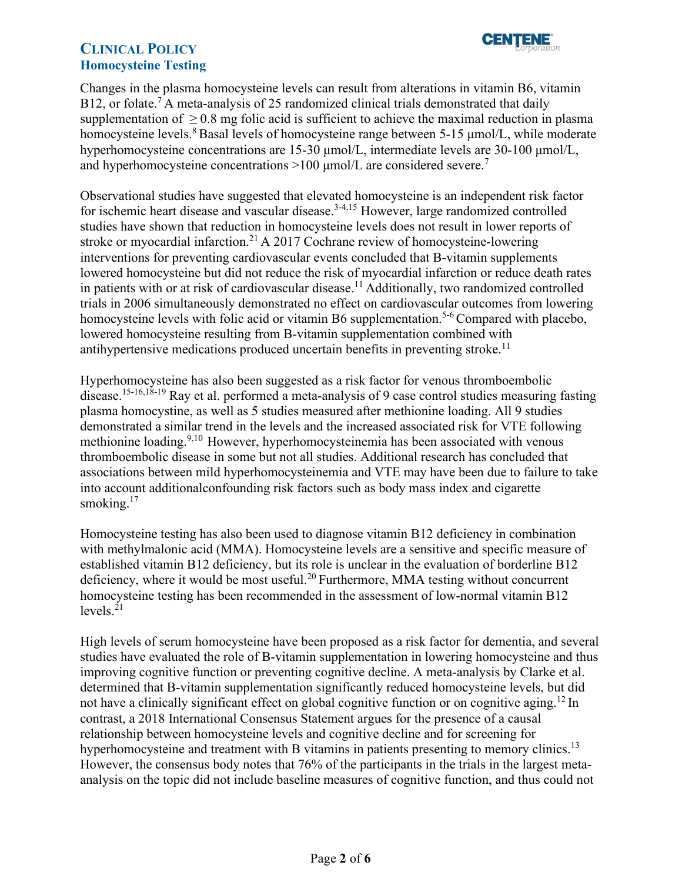

Changes in the plasma homocysteine levels can result from alterations in vitamin B6, vitamin B12, or folate.<sup>7</sup> A meta-analysis of 25 randomized clinical trials demonstrated that daily supplementation of  $\geq 0.8$  mg folic acid is sufficient to achieve the maximal reduction in plasma homocysteine levels.8 Basal levels of homocysteine range between 5-15 μmol/L, while moderate hyperhomocysteine concentrations are 15-30 μmol/L, intermediate levels are 30-100 μmol/L, and hyperhomocysteine concentrations  $>100$  µmol/L are considered severe.<sup>7</sup>

Observational studies have suggested that elevated homocysteine is an independent risk factor for ischemic heart disease and vascular disease.<sup>3-4,15</sup> However, large randomized controlled studies have shown that reduction in homocysteine levels does not result in lower reports of stroke or myocardial infarction.<sup>21</sup> A 2017 Cochrane review of homocysteine-lowering interventions for preventing cardiovascular events concluded that B-vitamin supplements lowered homocysteine but did not reduce the risk of myocardial infarction or reduce death rates in patients with or at risk of cardiovascular disease.<sup>11</sup> Additionally, two randomized controlled trials in 2006 simultaneously demonstrated no effect on cardiovascular outcomes from lowering homocysteine levels with folic acid or vitamin B6 supplementation.<sup>5-6</sup> Compared with placebo, lowered homocysteine resulting from B-vitamin supplementation combined with antihypertensive medications produced uncertain benefits in preventing stroke.<sup>11</sup>

Hyperhomocysteine has also been suggested as a risk factor for venous thromboembolic disease.15-16,18-19 Ray et al. performed a meta-analysis of 9 case control studies measuring fasting plasma homocystine, as well as 5 studies measured after methionine loading. All 9 studies demonstrated a similar trend in the levels and the increased associated risk for VTE following methionine loading.<sup>9,10</sup> However, hyperhomocysteinemia has been associated with venous thromboembolic disease in some but not all studies. Additional research has concluded that associations between mild hyperhomocysteinemia and VTE may have been due to failure to take into account additionalconfounding risk factors such as body mass index and cigarette smoking.<sup>17</sup>

Homocysteine testing has also been used to diagnose vitamin B12 deficiency in combination with methylmalonic acid (MMA). Homocysteine levels are a sensitive and specific measure of established vitamin B12 deficiency, but its role is unclear in the evaluation of borderline B12 deficiency, where it would be most useful.<sup>20</sup> Furthermore, MMA testing without concurrent homocysteine testing has been recommended in the assessment of low-normal vitamin B12 levels. $^{21}$ 

High levels of serum homocysteine have been proposed as a risk factor for dementia, and several studies have evaluated the role of B-vitamin supplementation in lowering homocysteine and thus improving cognitive function or preventing cognitive decline. A meta-analysis by Clarke et al. determined that B-vitamin supplementation significantly reduced homocysteine levels, but did not have a clinically significant effect on global cognitive function or on cognitive aging.<sup>12</sup> In contrast, a 2018 International Consensus Statement argues for the presence of a causal relationship between homocysteine levels and cognitive decline and for screening for hyperhomocysteine and treatment with B vitamins in patients presenting to memory clinics.<sup>13</sup> However, the consensus body notes that 76% of the participants in the trials in the largest metaanalysis on the topic did not include baseline measures of cognitive function, and thus could not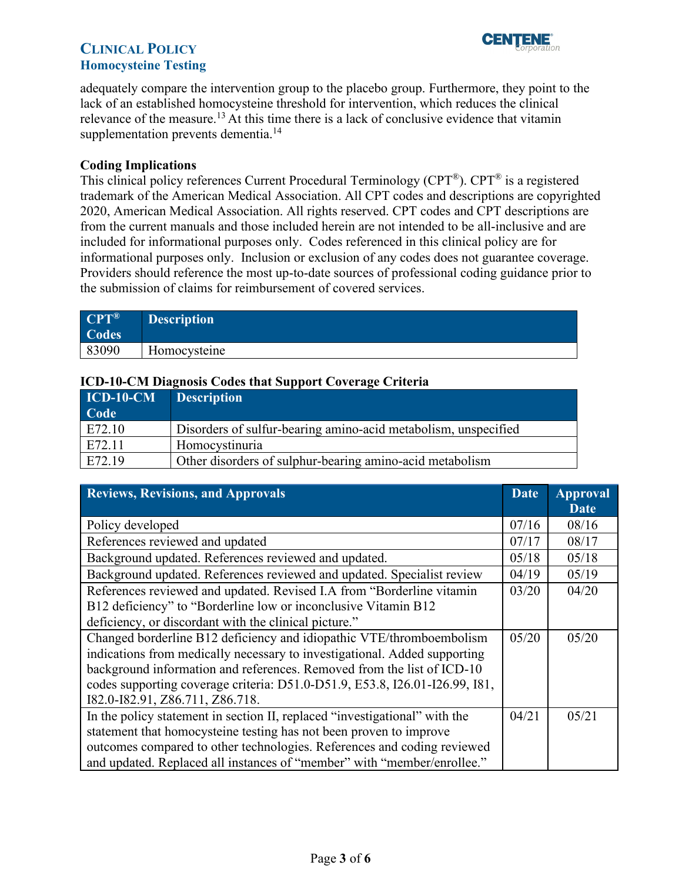

adequately compare the intervention group to the placebo group. Furthermore, they point to the lack of an established homocysteine threshold for intervention, which reduces the clinical relevance of the measure.<sup>13</sup> At this time there is a lack of conclusive evidence that vitamin supplementation prevents dementia.<sup>14</sup>

#### <span id="page-2-0"></span>**Coding Implications**

This clinical policy references Current Procedural Terminology (CPT®). CPT® is a registered trademark of the American Medical Association. All CPT codes and descriptions are copyrighted 2020, American Medical Association. All rights reserved. CPT codes and CPT descriptions are from the current manuals and those included herein are not intended to be all-inclusive and are included for informational purposes only. Codes referenced in this clinical policy are for informational purposes only. Inclusion or exclusion of any codes does not guarantee coverage. Providers should reference the most up-to-date sources of professional coding guidance prior to the submission of claims for reimbursement of covered services.

| $CPT^{\circledR}$<br>Codes | <b>Description</b> |
|----------------------------|--------------------|
| 83090                      | Homocysteine       |

#### **ICD-10-CM Diagnosis Codes that Support Coverage Criteria**

| $ICD-10-CM$ | <b>Description</b>                                             |
|-------------|----------------------------------------------------------------|
| Code        |                                                                |
| E72.10      | Disorders of sulfur-bearing amino-acid metabolism, unspecified |
| E72.11      | Homocystinuria                                                 |
| E72.19      | Other disorders of sulphur-bearing amino-acid metabolism       |

<span id="page-2-1"></span>

| <b>Reviews, Revisions, and Approvals</b>                                    | <b>Date</b> | <b>Approval</b><br><b>Date</b> |
|-----------------------------------------------------------------------------|-------------|--------------------------------|
| Policy developed                                                            |             | 08/16                          |
| References reviewed and updated                                             |             | 08/17                          |
| Background updated. References reviewed and updated.                        | 05/18       | 05/18                          |
| Background updated. References reviewed and updated. Specialist review      | 04/19       | 05/19                          |
| References reviewed and updated. Revised I.A from "Borderline vitamin       | 03/20       | 04/20                          |
| B12 deficiency" to "Borderline low or inconclusive Vitamin B12              |             |                                |
| deficiency, or discordant with the clinical picture."                       |             |                                |
| Changed borderline B12 deficiency and idiopathic VTE/thromboembolism        | 05/20       | 05/20                          |
| indications from medically necessary to investigational. Added supporting   |             |                                |
| background information and references. Removed from the list of ICD-10      |             |                                |
| codes supporting coverage criteria: D51.0-D51.9, E53.8, I26.01-I26.99, I81, |             |                                |
| I82.0-I82.91, Z86.711, Z86.718.                                             |             |                                |
| In the policy statement in section II, replaced "investigational" with the  |             | 05/21                          |
| statement that homocysteine testing has not been proven to improve          |             |                                |
| outcomes compared to other technologies. References and coding reviewed     |             |                                |
| and updated. Replaced all instances of "member" with "member/enrollee."     |             |                                |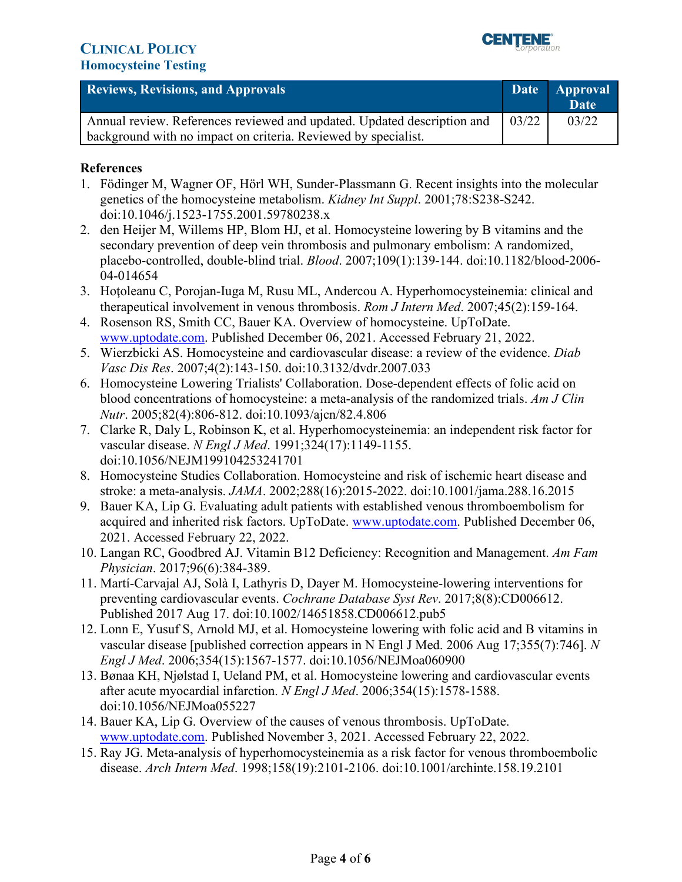

| <b>Reviews, Revisions, and Approvals</b>                                                                                                  | Date  | <b>Approval</b><br><b>Date</b> |
|-------------------------------------------------------------------------------------------------------------------------------------------|-------|--------------------------------|
| Annual review. References reviewed and updated. Updated description and<br>background with no impact on criteria. Reviewed by specialist. | 03/22 | 03/22                          |

#### **References**

- 1. Födinger M, Wagner OF, Hörl WH, Sunder-Plassmann G. Recent insights into the molecular genetics of the homocysteine metabolism. *Kidney Int Suppl*. 2001;78:S238-S242. doi:10.1046/j.1523-1755.2001.59780238.x
- 2. den Heijer M, Willems HP, Blom HJ, et al. Homocysteine lowering by B vitamins and the secondary prevention of deep vein thrombosis and pulmonary embolism: A randomized, placebo-controlled, double-blind trial. *Blood*. 2007;109(1):139-144. doi:10.1182/blood-2006- 04-014654
- 3. Hoţoleanu C, Porojan-Iuga M, Rusu ML, Andercou A. Hyperhomocysteinemia: clinical and therapeutical involvement in venous thrombosis. *Rom J Intern Med*. 2007;45(2):159-164.
- 4. Rosenson RS, Smith CC, Bauer KA. Overview of homocysteine. UpToDate. [www.uptodate.com.](http://www.uptodate.com/) Published December 06, 2021. Accessed February 21, 2022.
- 5. Wierzbicki AS. Homocysteine and cardiovascular disease: a review of the evidence. *Diab Vasc Dis Res*. 2007;4(2):143-150. doi:10.3132/dvdr.2007.033
- 6. Homocysteine Lowering Trialists' Collaboration. Dose-dependent effects of folic acid on blood concentrations of homocysteine: a meta-analysis of the randomized trials. *Am J Clin Nutr*. 2005;82(4):806-812. doi:10.1093/ajcn/82.4.806
- 7. Clarke R, Daly L, Robinson K, et al. Hyperhomocysteinemia: an independent risk factor for vascular disease. *N Engl J Med*. 1991;324(17):1149-1155. doi:10.1056/NEJM199104253241701
- 8. Homocysteine Studies Collaboration. Homocysteine and risk of ischemic heart disease and stroke: a meta-analysis. *JAMA*. 2002;288(16):2015-2022. doi:10.1001/jama.288.16.2015
- 9. Bauer KA, Lip G. Evaluating adult patients with established venous thromboembolism for acquired and inherited risk factors. UpToDate. [www.uptodate.com.](http://www.uptodate.com/) Published December 06, 2021. Accessed February 22, 2022.
- 10. Langan RC, Goodbred AJ. Vitamin B12 Deficiency: Recognition and Management. *Am Fam Physician*. 2017;96(6):384-389.
- 11. Martí-Carvajal AJ, Solà I, Lathyris D, Dayer M. Homocysteine-lowering interventions for preventing cardiovascular events. *Cochrane Database Syst Rev*. 2017;8(8):CD006612. Published 2017 Aug 17. doi:10.1002/14651858.CD006612.pub5
- 12. Lonn E, Yusuf S, Arnold MJ, et al. Homocysteine lowering with folic acid and B vitamins in vascular disease [published correction appears in N Engl J Med. 2006 Aug 17;355(7):746]. *N Engl J Med*. 2006;354(15):1567-1577. doi:10.1056/NEJMoa060900
- 13. Bønaa KH, Njølstad I, Ueland PM, et al. Homocysteine lowering and cardiovascular events after acute myocardial infarction. *N Engl J Med*. 2006;354(15):1578-1588. doi:10.1056/NEJMoa055227
- 14. Bauer KA, Lip G. Overview of the causes of venous thrombosis. UpToDate. [www.uptodate.com.](http://www.uptodate.com/) Published November 3, 2021. Accessed February 22, 2022.
- 15. Ray JG. Meta-analysis of hyperhomocysteinemia as a risk factor for venous thromboembolic disease. *Arch Intern Med*. 1998;158(19):2101-2106. doi:10.1001/archinte.158.19.2101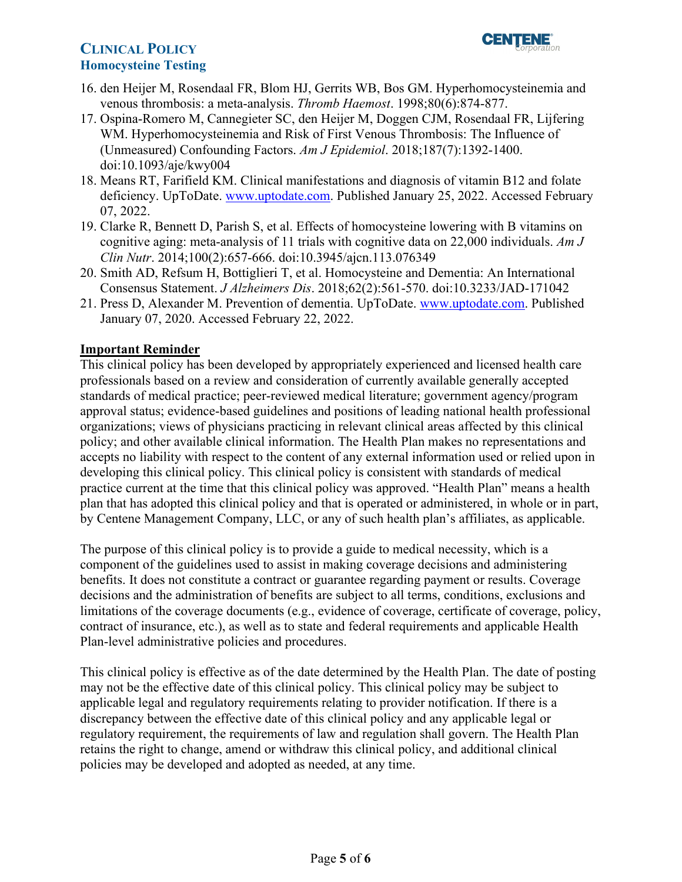

- 16. den Heijer M, Rosendaal FR, Blom HJ, Gerrits WB, Bos GM. Hyperhomocysteinemia and venous thrombosis: a meta-analysis. *Thromb Haemost*. 1998;80(6):874-877.
- 17. Ospina-Romero M, Cannegieter SC, den Heijer M, Doggen CJM, Rosendaal FR, Lijfering WM. Hyperhomocysteinemia and Risk of First Venous Thrombosis: The Influence of (Unmeasured) Confounding Factors. *Am J Epidemiol*. 2018;187(7):1392-1400. doi:10.1093/aje/kwy004
- 18. Means RT, Farifield KM. Clinical manifestations and diagnosis of vitamin B12 and folate deficiency. UpToDate. [www.uptodate.com.](http://www.uptodate.com/) Published January 25, 2022. Accessed February 07, 2022.
- 19. Clarke R, Bennett D, Parish S, et al. Effects of homocysteine lowering with B vitamins on cognitive aging: meta-analysis of 11 trials with cognitive data on 22,000 individuals. *Am J Clin Nutr*. 2014;100(2):657-666. doi:10.3945/ajcn.113.076349
- 20. Smith AD, Refsum H, Bottiglieri T, et al. Homocysteine and Dementia: An International Consensus Statement. *J Alzheimers Dis*. 2018;62(2):561-570. doi:10.3233/JAD-171042
- 21. Press D, Alexander M. Prevention of dementia. UpToDate. [www.uptodate.com.](http://www.uptodate.com/) Published January 07, 2020. Accessed February 22, 2022.

#### <span id="page-4-0"></span>**Important Reminder**

This clinical policy has been developed by appropriately experienced and licensed health care professionals based on a review and consideration of currently available generally accepted standards of medical practice; peer-reviewed medical literature; government agency/program approval status; evidence-based guidelines and positions of leading national health professional organizations; views of physicians practicing in relevant clinical areas affected by this clinical policy; and other available clinical information. The Health Plan makes no representations and accepts no liability with respect to the content of any external information used or relied upon in developing this clinical policy. This clinical policy is consistent with standards of medical practice current at the time that this clinical policy was approved. "Health Plan" means a health plan that has adopted this clinical policy and that is operated or administered, in whole or in part, by Centene Management Company, LLC, or any of such health plan's affiliates, as applicable.

The purpose of this clinical policy is to provide a guide to medical necessity, which is a component of the guidelines used to assist in making coverage decisions and administering benefits. It does not constitute a contract or guarantee regarding payment or results. Coverage decisions and the administration of benefits are subject to all terms, conditions, exclusions and limitations of the coverage documents (e.g., evidence of coverage, certificate of coverage, policy, contract of insurance, etc.), as well as to state and federal requirements and applicable Health Plan-level administrative policies and procedures.

 applicable legal and regulatory requirements relating to provider notification. If there is a This clinical policy is effective as of the date determined by the Health Plan. The date of posting may not be the effective date of this clinical policy. This clinical policy may be subject to discrepancy between the effective date of this clinical policy and any applicable legal or regulatory requirement, the requirements of law and regulation shall govern. The Health Plan retains the right to change, amend or withdraw this clinical policy, and additional clinical policies may be developed and adopted as needed, at any time.